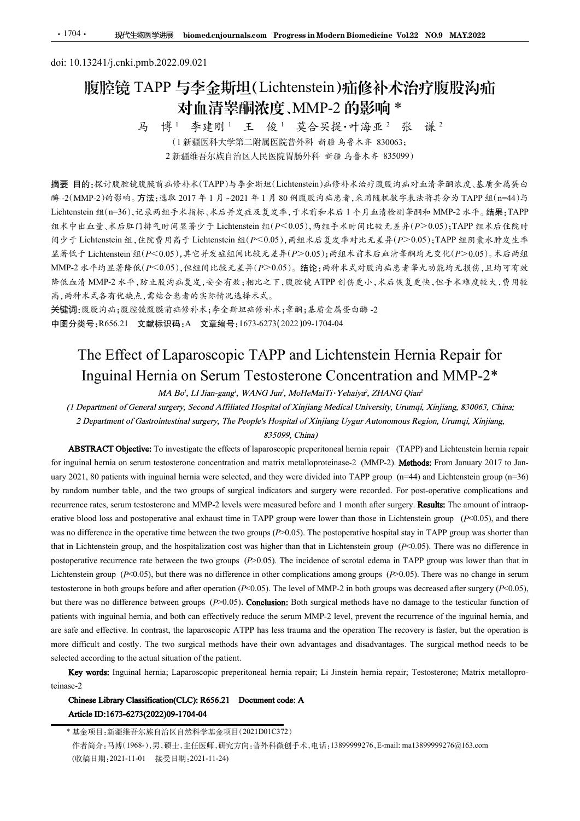# <u>·1704· 现代生物医学进展 biomed.cnjournals.com Progressin Modern Biomedicin</u><br>doi: 10.13241/j.cnki.pmb.2022.09.021<br>腹腔镜 TAPP 与李金斯坦(Lichtenstein)疝修补<br>对血清睾酮浓度、MMP-2 的影响 腹腔镜 TAPP 与李金斯坦(Lichtenstein)疝修补术治疗腹股沟疝 对血清睾酮浓度、MMP-2 的影响 \*<br>马 博<sup>1</sup> 李建刚1 王 俊1 莫合买提·叶海亚<sup>2</sup> 张 谦<sup>2</sup> 张<br> 谦 <sup>2</sup>

李建刚 <sup>1</sup> 莫合买提·叶海亚 <sup>2</sup> (<sup>1</sup> 新疆医科大学第二附属医院普外科 新疆 乌鲁木齐 <sup>830063</sup>; <sup>2</sup> 新疆维吾尔族自治区人民医院胃肠外科 新疆 乌鲁木齐 <sup>835099</sup>)

摘要 目的:探讨腹腔镜腹膜前疝修补术(TAPP)与李金斯坦(Lichtenstein)疝修补术治疗腹股沟疝对血清睾酮浓度、基质金属蛋白 酶 -2(MMP-2)的影响。方法:选取 2017 年 1 月 ~2021 年 1 月 80 例腹股沟疝患者,采用随机数字表法将其分为 TAPP 组(n=44)与 Lichtenstein 组(n=36),记录两组手术指标、术后并发症及复发率,于术前和术后 1 个月血清检测睾酮和 MMP-2 水平。结果:TAPP 组术中出血量、术后肛门排气时间显著少于 Lichtenstein 组(P<0.05),两组手术时间比较无差异(P>0.05);TAPP 组术后住院时 间少于 Lichtenstein 组,住院费用高于 Lichtenstein 组(P<0.05),两组术后复发率对比无差异(P>0.05);TAPP 组阴囊水肿发生率 显著低于 Lichtenstein 组( $P < 0.05$ ),其它并发症组间比较无差异( $P > 0.05$ );两组术前术后血清睾酮均无变化( $P > 0.05$ )。术后两组  $MMP-2$ 水平均显著降低( $P < 0.05$ ),但组间比较无差异( $P > 0.05$ )。结论:两种术式对股沟疝患者睾丸功能均无损伤,且均可有效 降低血清 MMP-2 水平,防止股沟疝复发,安全有效;相比之下,腹腔镜 ATPP 创伤更小,术后恢复更快,但手术难度较大,费用较 高,两种术式各有优缺点,需结合患者的实际情况选择术式。 **35 - The Effect of Laparoscopic TAPP and Lichtenstein Hernia Repair for Laparoscopic TAPP and Lichtenstein Hernia Repair for Magnetic Magnetic Tapper and Magnetic Contents of Laparoscopic TAPP and Lichtenstein Hernia Re** 39<br>
19 | 等 | 李建剛<br>
10 新聞医科大学第二階関節将科 前 前 乌希尔 大統・中語系、各、20063<br>
2 新聞程序水流自治以民医医用物系 前 4 高 乌希木木 833009)<br>
10:保持股股税販店部分水流自治以民医院用動科者 前 4 高 乌希木木 833009)<br>
10:保持服民政府政府公布米にTAPP 与李全新区(Lichtenstein)品等朴本治疗废庭均血济条相違度、基度全易安白<br>
MP-2)的沙响。方法:选单 : :š.#R 2017 年 1 月 ~2021 年 1 月 80 例設暖方品意音,采用随机披学表法将条分为 TAPP 组(I=44) 与<br>商地子系指标、本部大学工程及复发率,子术前和本后 1 个月血清检测量解析 MMP-2 在一緒 編要、<br>電子開 画家 - Thicknessein 组 (*P*<0.05), 商组本な复发率对比元差 ル(P>0.05); TAPP 组所象水所文生<br><br> T-0.05), 共台并发症或及其中 (P>0.05

关键词:腹股沟疝;腹腔镜腹膜前疝修补术;李金斯坦疝修补术;睾酮;基质金属蛋白酶 -2 中图分类号:R656.21 文献标识码:A 文章编号:1673-6273(2022)09-1704-04

Lichtenstein 放口を示う結果性手术指水、太方手及成束支養不、手术前水系行し外立公路装置、<br><br><br> fact + minimal figure - minimal figure - minimal figure - minimal figure - minimal figure - minimal figure - minimal figure - minimal figure - minimal figure - minima  $\beta$ )  $\gamma^2$  Lichthensis field. 住院考考局 F Lichthensis field ( $\nu^2$  C-605), 有組ネ合复象率神大名系科研究及集<br>
3. 基督、Hichhensis fit ( $\nu^2$ COLOS), 海道開比較充基科( $\nu^2$ COLOS), 錯除:西神木式对股海点急者未小校監、<br>
MMP-2 本平均基準体は( $\nu$ <sup>2</sup>COLOS), 短向開比較充差并( $\nu^2$ COLOS recurrence rates, serum testosterone and MMP-2 levels were measured before and 1 month after surgery. The amount of intraop-MMPA  $2k+8j\pm 2\pi$  Mechanical loss and plotted and postoperative blood and the interval and postoperative blood and postoperative and the interval and the postoperative analysis of the set of the set of the set of the se  $\Re k$  the  $\Delta k$  the  $\Re k = \Re k$  the  $k = \Re k$  and  $\Re k = \Re k$  and  $\Re k = \Re k$  and  $\Re k = \Re k$  and  $\Re k = \Re k$  and  $\Re k = \Re k$  and  $\Re k = \Re k$  and  $\Re k = \Re k$  and  $\Re k = \Re k$  and  $\Re k = \Re k$  and  $\Re k = \Re k$  and  $\Re k = \Re k$  and  $\Re k = \Re k$  and  $\Re k =$ A,  $\theta$ <sup>H</sup>  $\kappa$ ,  $\lambda$  5.4%  $\kappa$ ,  $\lambda$  5.4%  $\delta$   $\phi$  5.4%  $\kappa$  in Lichtenstein  $\kappa$ . Here is an of Section cost in that in Lemma (Figure 1) and Lichtenstein Hermia Repair for Inguinal Hermia is  $\kappa$  5.4%  $\kappa$  5.4% 美雄 3.0.02.2 (MMP-2) Network Recentric Contents of  $\#N$  and  $\#N$  and  $\#N$  and  $\#N$  and  $\#N$  and  $\#N$  and  $\#N$  and  $\#N$  and  $\#N$  and  $\#N$  and  $\#N$  and  $\#N$  and  $\#N$  and  $\#N$  and  $\#N$  and  $\#N$  and  $\#N$  and 中国分炎号:R656.21 文献信识码:A 文章編号:1673-6273/2022)09-1704-04<br>
The Effect of Laparoscopic TAPP and Lichtenstein Hermia Repair for<br>
Inguinal Hermia on Serum Testosterone Concentration and MMP-2\*<br>
MABO, LU lian-gang', WANG Jan', M The Effect of Laparoscopic TAPP and Lichtenstein Hermia Repair for<br>Inguinal Hermia on Serum Testosterone Concentration and MMP-2\*<br>
MA Bot, 11 Jian-gang', WANG Jaw', MoleckaiTi-Ychaiya', ZHANG Qian'<br>
(1 Department of Gener The Effect of Laparoscopic TAPP and Lichtenstein Hernia Repair for<br>Inguinal Hernia on Serum Testosterone Concentration and MMP-2\*<br>
(Department of General surgery, Second Affiliated Hospital of Xnjiang Medical University, **Particular Mernia on Serum Testosterone Concentration and MMP-2\***<br> *AB-matter of Denotions of Greenia surgecy, Stead Affiliated Hospital of Xinjiang Medical University, Unsurgin, Xinjiang, 830063, China;<br>
2 Department of* **EXECTIVE THE CONTROL CONTROL CONTROL CONTROL CONTROL CONTROL CONTROL CONTROL CONTROL CONTROL CONTROL CONTROL CONTROL CONTROL CONTROL CONTROL CONTROL CONTROL CONTROL CONTROL CONTROL CONTROL CONTROL CONTROL CONTROL CONTROL** (1) Department of General methods in 10.1 Man-garg, WAMG Jan, Molledon Ti-Velarity. Velarity. The two surgers, Second Affiliated Hospital of Xnijiang Myari Microsofty. Unimpi, Xinjiang, 8.70063, China;<br>
2) Department of G (*I* Department of General surgery, Scomd Affiling Helospital of Xinjiang Medical Diriversity, Unrami, Xinjiang, 830063, China;<br>
2) Department of Gestrointessinal surgery, The People's Hospital of Xinjiang Uygar Autonomou tent of Gastrointestinal sargery. The People's Inspair of Xinjiang Uygar Autonomous Region. Unimqi, Xinjiang,<br>
Coljective: To investigate the effects of laparoscopic preperitoneal hermia repair (TAPP) and Liethenstein her solution and the original method of the particle of the particle of the particle of the particle of the particle of the particle of the particle of the control of the particle and MMP-2 levels were measured hefve and 1 mo

teinase-2

<sup>\*</sup> 基金项目:新疆维吾尔族自治区自然科学基金项目(2021D01C372) (收稿日期:2021-11-01 接受日期:2021-11-24)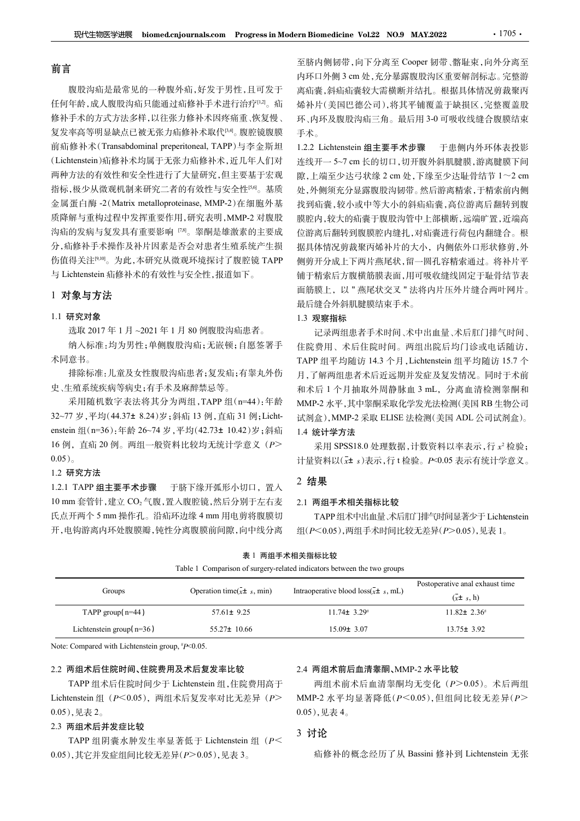# 前言

腹股沟疝是最常见的一种腹外疝,好发于男性,且可发于 任何年龄,成人腹股沟疝只能通过疝修补手术进行治疗[1,2]。疝 修补手术的方式方法多样,以往张力修补术因疼痛重、恢复慢、 复发率高等明显缺点已被无张力疝修补术取代[3,4]。腹腔镜腹膜 前疝修补术(Transabdominal preperitoneal, TAPP)与李金斯坦 (Lichtenstein)疝修补术均属于无张力疝修补术,近几年人们对 连线开一5~7 cm 长的切口,切开腹外斜肌腱膜,游离腱膜下间 两种方法的有效性和安全性进行了大量研究,但主要基于宏观 欧... - 隙, 上端至少达弓状缘 2 cm 处, 下缘至少达耻骨结节 1~2 cm 指标,极少从微观机制来研究二者的有效性与安全性[56]。基质 金属蛋白酶 -2(Matrix metalloproteinase, MMP-2)在细胞外基 质降解与重构过程中发挥重要作用,研究表明,MMP-2 对腹股 沟疝的发病与复发具有重要影响 [7,8]。睾酮是雄激素的主要成 分,疝修补手术操作及补片因素是否会对患者生殖系统产生损 伤值得关注[9,10]。为此,本研究从微观环境探讨了腹腔镜 TAPP 与 Lichtenstein 疝修补术的有效性与安全性,报道如下。

## 1 对象与方法

## 1.1 研究对象

采用随机数字表法将其分为两组,TAPP 组(n=44):年龄 32~77 岁,平均(44.37± 8.24)岁;斜疝 13 例,直疝 31 例;Lichtenstein 组(n=36):年龄 26~74 岁,平均(42.73± 10.42)岁;斜疝 16 例, 直疝 20 例。两组一般资料比较均无统计学意义(P>  $0.05$ <sub>。</sub> 1.2.1 TAPP 组主要手术步骤 1.2.2.1 TAPP 组(一部分)。 1.2.1 TAPP 组主要手术步骤 1.2.1 TAPP 组主要手术步骤 1.2.1 TAPP 组工会 1.2.1 TAPP 组主要手术步骤 1.2.1 TAPP 组工会 1.2.1 TAPP 组工费等料比较均无统计学意义 (P> 1.2 研究方法 1.2.1 TAPP 组工费率计算 1.2.1 TAPP 组工费率计算 1.2.1 TAPP 组工费率计算 10 mm 套管针,建立 CO2 气腹,置入腹腔镜,然后分别于左右麦

# 1.2 研究方法

至脐内侧韧带,向下分离至 Cooper 韧带、髂耻束,向外分离至 ern Biomedicine Vol.22 NO.9 MAY.2022 1705 ·<br>至脐内侧韧带,向下分离至 Cooper 韧带、髂耻束,向外分离至<br>内环口外侧 3 cm 处,充分暴露腹股沟区重要解剖标志。完整游<br>离疝囊,斜疝疝囊较大需横断并结扎。根据具体情况剪裁聚丙<br>烯补片(美国巴德公司),将其平铺覆盖于缺损区,完整覆盖股<br>环、内环及腹股沟疝三角。最后用 3-0 可吸收线缝合腹膜结束 离疝囊,斜疝疝囊较大需横断并结扎。根据具体情况剪裁聚丙 烯补片(美国巴德公司),将其平铺覆盖于缺损区,完整覆盖股 环、内环及腹股沟疝三角。最后用 3-0 可吸收线缝合腹膜结束 手术。 rn Biomedicine Vol.22 NO.9 MAY.2022 · 1705 ·<br>至脐内侧韧带,向下分离至 Cooper 韧带、髂耻束,向外分离至<br>内环口外侧 3 cm 处,充分暴露腹股沟区重要解剖标志。完整游<br>离疝囊,斜疝疝囊较大需横断并结扎。根据具体情况剪裁聚丙<br>烯补片(美国巴德公司),将其平铺覆盖于缺损区,完整覆盖股<br>环、内环及腹股沟疝三角。最后用 3-0 可吸收线缝合腹膜结束<br>手术。<br>1.2.2 Lichtenst

rn Biomedicine Vol.22 NO.9 MAY.2022 1705 .<br>至脐内侧韧带,向下分离至 Cooper 韧带、髂耻束,向外分离至<br>内环口外侧 3 cm 处,充分暴露腹股沟区重要解剖标志。完整游<br>离疝囊,斜疝疝囊较大需横断并结扎。根据具体情况剪裁聚丙<br>烯补片(美国巴德公司)、将其平铺覆盖于缺损区,完整覆盖股<br>坏补片(美国巴德公司)、将其平铺覆盖于缺损区,完整覆盖股<br>天、内环及腹股沟疝三角。最后用 3-0 可吸收线缝合腹 **zm Biomedicine Vol.22 NO.9 MAY.2022 2 cm 1705 · 1705 · 1705 · 1705 · 1705 · 1705 · 1705 · 1705 · 1705 · 1705 · 1705 · 1705 · 1705 · 1705 · 1705 · 1705 · 1705 · 1705 · 1705 · 1705 · 1705 · 1705 · 1705 · 1705 · 1705 · 1705** 处,外侧须充分显露腹股沟韧带。然后游离精索,于精索前内侧 找到疝囊,较小或中等大小的斜疝疝囊,高位游离后翻转到腹 膜腔内,较大的疝囊于腹股沟管中上部横断,远端旷置,近端高 位游离后翻转到腹膜腔内缝扎,对疝囊进行荷包内翻缝合。根 据具体情况剪裁聚丙烯补片的大小,内侧依外口形状修剪,外 侧剪开分成上下两片燕尾状,留一圆孔容精索通过。将补片平 铺于精索后方腹横筋膜表面,用可吸收缝线固定于耻骨结节表 面筋膜上,以 " 燕尾状交叉 " 法将内片压外片缝合两叶网片。 最后缝合外斜肌腱膜结束手术。 1.22 Lichtenstein 组主要手术步骤 于患侧内环环表投影<br>1.22 Lichtenstein 组主要手术步骤 于患侧内环体表投影<br>连线开一5~7 cm 长的切口,切开腹外斜肌腱膜、游离腱膜下间<br>腺,上端至少达弓状缘 2 cm 处,下缘至少达趾骨结节 1~2 cm<br>处,外侧须充分显露腹股沟脚带。然后游离精索,干精索前内侧<br>处外侧须充分显露腹股沟管中上部横断,远端旷置,近端高<br>膜腔内,较大的疝囊于腹股沟管中上部横断,远端旷置,

## 1.3 观察指标

0. attenset a space of the property of the conservation of the conservation of the conservation of the conservation of the conservation of the property of the conservation of the conservation of the property of the cons 记录两组患者手术时间、术中出血量、术后肛门排气时间、 住院费用、术后住院时间。两组出院后均门诊或电话随访, TAPP 组平均随访 14.3 个月,Lichtenstein 组平均随访 15.7 个 月,了解两组患者术后近远期并发症及复发情况。同时于术前 MMP-2 水平,其中睾酮采取化学发光法检测(美国 RB 生物公司 试剂盒),MMP-2 采取 ELISE 法检测(美国 ADL 公司试剂盒)。 1.4 统计学方法 均门诊或电话随访,<br>组平均随访 15.7 个<br>发情况。同时于术前<br>则(美国 RB 生物公司<br>| ADL 公司试剂盒)。<br>|<br>本表示,行 x<sup>2</sup> 检验;<br>|表示有统计学意义。<br>|基本子有统计学意义。<br>|<br>|<br>|<br>|-<br>|<br>|<br>|<br>| all ADL 公司试剂盒)。<br>|<br>|<br>|<br>| ADL 公司试剂盒)。<br>|<br>|<br>| 表示有统计学意义。<br>|<br>| ADL 公司试验室义。<br>|<br>| ADL 公司试剂盒)。<br>|<br>| ADL 公司试验室义。

## 2 结果

#### 2.1 两组手术相关指标比较

| 1.1 研究对家                                           |                                       | 1.3 观察指标                                                                                                                                                                                                                                             |                                                         |  |  |
|----------------------------------------------------|---------------------------------------|------------------------------------------------------------------------------------------------------------------------------------------------------------------------------------------------------------------------------------------------------|---------------------------------------------------------|--|--|
| 选取 2017年1月~2021年1月80例腹股沟疝患者。                       |                                       | 记录两组患者手术时间、术中出血量、术后肛门排气时间、                                                                                                                                                                                                                           |                                                         |  |  |
|                                                    | 纳入标准:均为男性;单侧腹股沟疝;无嵌顿;自愿签署手            | 住院费用、术后住院时间。两组出院后均门诊或电话随访,                                                                                                                                                                                                                           |                                                         |  |  |
| 术同意书。                                              |                                       | TAPP 组平均随访 14.3 个月, Lichtenstein 组平均随访 15.7 个<br>月,了解两组患者术后近远期并发症及复发情况。同时于术前<br>和术后 1 个月抽取外周静脉血 3 mL, 分离血清检测睾酮和<br>MMP-2 水平,其中睾酮采取化学发光法检测(美国 RB 生物公司<br>试剂盒), MMP-2 采取 ELISE 法检测(美国 ADL 公司试剂盒)。<br>1.4 统计学方法<br>采用 SPSS18.0 处理数据, 计数资料以率表示, 行 x2 检验; |                                                         |  |  |
|                                                    | 排除标准:儿童及女性腹股沟疝患者;复发疝;有睾丸外伤            |                                                                                                                                                                                                                                                      |                                                         |  |  |
| 史、生殖系统疾病等病史;有手术及麻醉禁忌等。                             |                                       |                                                                                                                                                                                                                                                      |                                                         |  |  |
|                                                    | 采用随机数字表法将其分为两组, TAPP 组(n=44):年龄       |                                                                                                                                                                                                                                                      |                                                         |  |  |
| 32~77 岁,平均(44.37± 8.24)岁;斜疝 13 例,直疝 31 例;Licht-    |                                       |                                                                                                                                                                                                                                                      |                                                         |  |  |
| enstein 组(n=36):年龄 26~74 岁,平均(42.73± 10.42)岁;斜疝    |                                       |                                                                                                                                                                                                                                                      |                                                         |  |  |
| 16例, 直疝 20例。两组一般资料比较均无统计学意义 (P>                    |                                       |                                                                                                                                                                                                                                                      |                                                         |  |  |
| $0.05)$ 。                                          |                                       | 计量资料以(x± s)表示,行t检验。P<0.05 表示有统计学意义。                                                                                                                                                                                                                  |                                                         |  |  |
| 1.2 研究方法                                           |                                       | 2 结果                                                                                                                                                                                                                                                 |                                                         |  |  |
| 1.2.1 TAPP 组主要手术步骤 于脐下缘开弧形小切口, 置入                  |                                       | 2.1 两组手术相关指标比较                                                                                                                                                                                                                                       |                                                         |  |  |
| 10 mm 套管针,建立 CO2 气腹,置入腹腔镜,然后分别于左右麦                 |                                       |                                                                                                                                                                                                                                                      |                                                         |  |  |
| 氏点开两个 5 mm 操作孔。沿疝环边缘 4 mm 用电剪将腹膜切                  |                                       |                                                                                                                                                                                                                                                      | TAPP 组术中出血量、术后肛门排气时间显著少于 Lichtenstein                   |  |  |
| 开,电钩游离内环处腹膜瓣,钝性分离腹膜前间隙,向中线分离                       |                                       | 组(P<0.05),两组手术时间比较无差异(P>0.05),见表 1。                                                                                                                                                                                                                  |                                                         |  |  |
|                                                    |                                       | 表 1 两组手术相关指标比较                                                                                                                                                                                                                                       |                                                         |  |  |
|                                                    |                                       | Table 1 Comparison of surgery-related indicators between the two groups                                                                                                                                                                              |                                                         |  |  |
| Groups                                             | Operation time( $\bar{x}$ ± s, min)   | Intraoperative blood $loss(\bar{x} \pm s, mL)$                                                                                                                                                                                                       | Postoperative anal exhaust time<br>$(\bar{x} \pm s, h)$ |  |  |
| TAPP group( $n=44$ )                               | $57.61 \pm 9.25$                      | $11.74 \pm 3.29^{\#}$                                                                                                                                                                                                                                | $11.82 \pm 2.36^*$                                      |  |  |
| Lichtenstein group( $n=36$ )                       | 55.27± 10.66                          | $15.09 \pm 3.07$                                                                                                                                                                                                                                     | $13.75 \pm 3.92$                                        |  |  |
| Note: Compared with Lichtenstein group, $P<0.05$ . |                                       |                                                                                                                                                                                                                                                      |                                                         |  |  |
| 2.2 两组术后住院时间、住院费用及术后复发率比较                          |                                       | 2.4 两组术前后血清睾酮、MMP-2 水平比较                                                                                                                                                                                                                             |                                                         |  |  |
|                                                    | TAPP 组术后住院时间少于 Lichtenstein 组, 住院费用高于 |                                                                                                                                                                                                                                                      | 两组术前术后血清睾酮均无变化 (P>0.05)。术后两组                            |  |  |
| Lichtenstein 组(P<0.05),两组术后复发率对比无差异(P>             |                                       |                                                                                                                                                                                                                                                      | MMP-2 水平均显著降低 $(P< 0.05)$ , 但组间比较无差异 $(P >$             |  |  |
| $0.053$ $E \pm 2$                                  |                                       | $0.05$ $\overline{0}$ $\pm 4$                                                                                                                                                                                                                        |                                                         |  |  |

## 2.2 两组术后住院时间、住院费用及术后复发率比较

TAPP 组术后住院时间少于 Lichtenstein 组,住院费用高于 Lichtenstein 组 (P<0.05), 两组术后复发率对比无差异(P> 0.05),见表 2。

#### 2.3 两组术后并发症比较

TAPP 组阴囊水肿发生率显著低于 Lichtenstein 组 (P<sup>&</sup>lt; 0.05),其它并发症组间比较无差异(P>0.05),见表 3。

#### 2.4 两组术前后血清睾酮、MMP-2 水平比较

两组术前术后血清睾酮均无变化 (P>0.05)。术后两组 MMP-2 水平均显著降低(P<0.05),但组间比较无差异(P> 0.05),见表 4。

# 3 讨论

疝修补的概念经历了从 Bassini 修补到 Lichtenstein 无张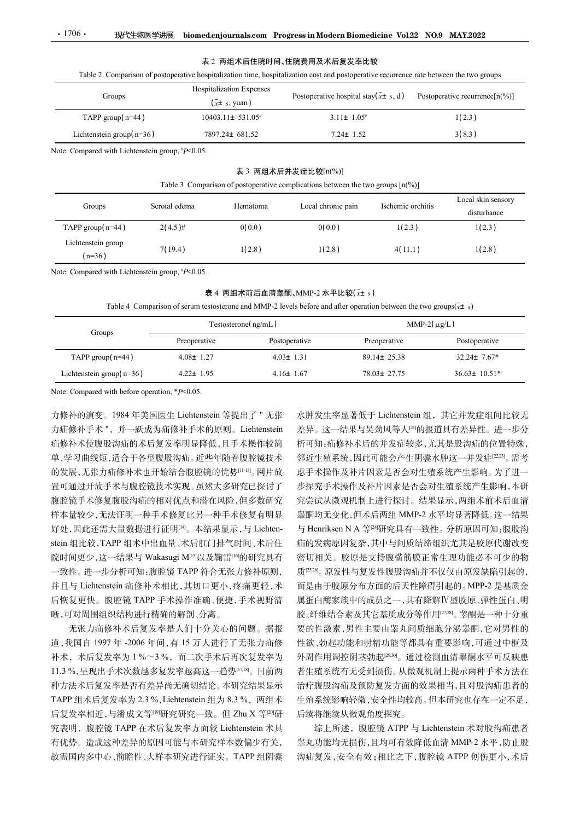#### 表 2 两组术后住院时间、住院费用及术后复发率比较

| $\boldsymbol{\cdot}$ 1706 $\boldsymbol{\cdot}$   | 现代生物医学进展      |                                                       | biomed.cnjournals.com Progress in Modern Biomedicine Vol.22 NO.9 MAY.2022                                                               |                   |                                |
|--------------------------------------------------|---------------|-------------------------------------------------------|-----------------------------------------------------------------------------------------------------------------------------------------|-------------------|--------------------------------|
|                                                  |               |                                                       |                                                                                                                                         |                   |                                |
|                                                  |               | 表 2 两组术后住院时间、住院费用及术后复发率比较                             |                                                                                                                                         |                   |                                |
|                                                  |               |                                                       |                                                                                                                                         |                   |                                |
|                                                  |               |                                                       | Table 2 Comparison of postoperative hospitalization time, hospitalization cost and postoperative recurrence rate between the two groups |                   |                                |
| Groups                                           |               | Hospitalization Expenses<br>$(\bar{x} \pm s, y \tan)$ | Postoperative hospital stay( $\bar{x}$ ± s, d)                                                                                          |                   | Postoperative recurrence[n(%)] |
| TAPP group(n=44)                                 |               | $10403.11 \pm 531.05$ #                               | $3.11 \pm 1.05$                                                                                                                         |                   | 1(2.3)                         |
| Lichtenstein group(n=36)                         |               | 7897.24± 681.52                                       | $7.24 \pm 1.52$                                                                                                                         |                   | 3(8.3)                         |
|                                                  |               |                                                       |                                                                                                                                         |                   |                                |
|                                                  |               |                                                       | 表 3 两组术后并发症比较[n(%)]                                                                                                                     |                   |                                |
|                                                  |               |                                                       | Table 3 Comparison of postoperative complications between the two groups $[n(\%)]$                                                      |                   |                                |
| Note: Compared with Lichtenstein group, #P<0.05. |               |                                                       |                                                                                                                                         |                   | Local skin sensory             |
| Groups                                           | Scrotal edema | Hematoma                                              | Local chronic pain                                                                                                                      | Ischemic orchitis | disturbance                    |
| TAPP group(n=44)                                 | $2(4.5)$ #    | 0(0.0)                                                | 0(0.0)                                                                                                                                  | 1(2.3)            | 1(2.3)                         |

#### 表 3 两组术后并发症比较[n(%)]

|                                                  |                                                 |                                                              | 表 2 两组术后住院时间、住院费用及术后复发率比较                                                                                 |                                                                                                                                         |                                    |  |
|--------------------------------------------------|-------------------------------------------------|--------------------------------------------------------------|-----------------------------------------------------------------------------------------------------------|-----------------------------------------------------------------------------------------------------------------------------------------|------------------------------------|--|
|                                                  |                                                 |                                                              |                                                                                                           | Table 2 Comparison of postoperative hospitalization time, hospitalization cost and postoperative recurrence rate between the two groups |                                    |  |
| Groups                                           |                                                 | <b>Hospitalization Expenses</b><br>$(\bar{x} \pm s, y \tan)$ | Postoperative hospital stay( $\bar{x}$ ± s, d)                                                            |                                                                                                                                         | Postoperative recurrence $[n(\%)]$ |  |
| TAPP group( $n=44$ )                             |                                                 | 10403.11± 531.05#                                            | $3.11 \pm 1.05^*$                                                                                         |                                                                                                                                         | 1(2.3)                             |  |
| Lichtenstein group( $n=36$ )                     |                                                 | 7897.24± 681.52                                              | $7.24 \pm 1.52$                                                                                           |                                                                                                                                         | 3(8.3)                             |  |
| Note: Compared with Lichtenstein group, #P<0.05. |                                                 |                                                              |                                                                                                           |                                                                                                                                         |                                    |  |
|                                                  |                                                 |                                                              | 表 3 两组术后并发症比较[n(%)]<br>Table 3 Comparison of postoperative complications between the two groups $[n(\%)]$ |                                                                                                                                         |                                    |  |
| Groups                                           | Scrotal edema                                   | Hematoma                                                     | Local chronic pain                                                                                        | Ischemic orchitis                                                                                                                       | Local skin sensory<br>disturbance  |  |
| TAPP group(n=44)                                 | $2(4.5)$ #                                      | 0(0.0)                                                       | 0(0.0)                                                                                                    | 1(2.3)                                                                                                                                  | 1(2.3)                             |  |
| Lichtenstein group<br>$(n=36)$                   | 7(19.4)                                         | 1(2.8)                                                       | 1(2.8)                                                                                                    | 4(11.1)                                                                                                                                 | 1(2.8)                             |  |
| Note: Compared with Lichtenstein group, #P<0.05. |                                                 |                                                              |                                                                                                           |                                                                                                                                         |                                    |  |
|                                                  |                                                 |                                                              | 表 4 两组术前后血清睾酮、MMP-2 水平比较 $(\bar{x}$ ± s)                                                                  | Table 4 Comparison of serum testosterone and MMP-2 levels before and after operation between the two groups( $\vec{x}$ ± s)             |                                    |  |
|                                                  |                                                 | Testosterone(ng/mL)                                          |                                                                                                           | MMP-2( $\mu$ g/L)                                                                                                                       |                                    |  |
| Groups                                           | Preoperative                                    |                                                              | Postoperative                                                                                             | Preoperative                                                                                                                            | Postoperative                      |  |
| TAPP group( $n=44$ )                             | $4.08 \pm 1.27$                                 |                                                              | $4.03 \pm 1.31$                                                                                           | 89.14± 25.38                                                                                                                            | $32.24 \pm 7.67*$                  |  |
|                                                  | Lichtenstein group( $n=36$ )<br>$4.22 \pm 1.95$ |                                                              | $4.16 \pm 1.67$                                                                                           | 78.03± 27.75                                                                                                                            | 36.63± 10.51*                      |  |

| 表 4 两组术前后血清睾酮、MMP-2 水平比较( $x$ ± $s$ ) |  |
|---------------------------------------|--|
|---------------------------------------|--|

|                             |                 | Testosterone(np/mL) | MMP-2( $\mu$ g/L) |                     |  |
|-----------------------------|-----------------|---------------------|-------------------|---------------------|--|
| Groups                      | Preoperative    | Postoperative       | Preoperative      | Postoperative       |  |
| TAPP group( $n=44$ )        | $4.08 \pm 1.27$ | $4.03 \pm 1.31$     | $89.14 \pm 25.38$ | $32.24 \pm 7.67^*$  |  |
| Lichtenstein group $(n=36)$ | $4.22 \pm 1.95$ | $4.16 \pm 1.67$     | $78.03 \pm 27.75$ | $36.63 \pm 10.51^*$ |  |

力修补的演变。1984 年美国医生 Liehtenstein 等提出了 " 无张 力疝修补手术",并一跃成为疝修补手术的原则。Liehtenstein 疝修补术使腹股沟疝的术后复发率明显降低,且手术操作较简 单,学习曲线短,适合于各型腹股沟疝。近些年随着腹腔镜技术 的发展,无张力疝修补术也开始结合腹腔镜的优势[11-13]。网片放 置可通过开放手术与腹腔镜技术实现。虽然大多研究已探讨了 腹腔镜手术修复腹股沟疝的相对优点和潜在风险,但多数研究 样本量较少,无法证明一种手术修复比另一种手术修复有明显 好处,因此还需大量数据进行证明[14]。本结果显示,与 Lichtenstein 组比较,TAPP 组术中出血量、术后肛门排气时间、术后住 Table 4 Comparison of secure and MMP-2 levels before and after operation between the two groups(et s)<br>
Tectomore Frequencies Frequencies (equality) and the presentative Frequencies Frequencies Frequencies Frequencies Fre 一致性。进一步分析可知:腹腔镜 TAPP 符合无张力修补原则, 并且与 Liehtenstein 疝修补术相比,其切口更小,疼痛更轻,术 后恢复更快。腹腔镜 TAPP 手术操作准确、便捷,手术视野清 晰,可对周围组织结构进行精确的解剖、分离。 11.3 %,呈现出手术次数越多复发率越高这一趋势[17,18]。目前两

无张力疝修补术后复发率是人们十分关心的问题。据报 道,我国自 1997 年 -2006 年间,有 15 万人进行了无张力疝修 种方法术后复发率是否有差异尚无确切结论。本研究结果显示 究表明,腹腔镜 TAPP 在术后复发率方面较 Liehtenstein 术具 有优势。造成这种差异的原因可能与本研究样本数偏少有关, 故需国内多中心、前瞻性、大样本研究进行证实。TAPP 组阴囊

力修补的演变,1984年美国医生上tehtenstein 等提出了。无法,是人工提出者低于以前,其先,从版现机制上提示。<br>大小而修补手术、并一跃成为痛修补手术的原则。Liebtenstein 差异。这一结果与吴劲风等人"的报道具有差异性,并不能够补关,并且使补偿性较多,就是是被控制,并不是发生的发生,并且是发生的发生,并且是发生的发生,并且是对于这种方式是是对社会的开发,并且是对社会的关系,而且进行开发,并且是对社会的关系,并且是对社会 <sup>而同行,以上,进行的。"中国主要的工程,在市场的,在市场的,在市场的,最后,需要的是经济部分的5.3 %,使用,以下降的。<br>5.3 %,是,我们就修补术也开始结合被震撼的优势™。同片放 虚子术整作及补片因素是否会对生殖系统产生影响。方子进行<br>或受展,无法力辅修补术使用结合被震撼的优势™。同片放 虚子术整作及补片因素是否会对生殖系统产生影响。方子进一步<br>或变置下本管复股增大的系统出,比然之多的它已经就好了 步骤活下术能像,结果是</sup> 后复发率相近,与潘成文等[19]研究研究一致。但 Zhu X <sup>等</sup>[20]<sup>研</sup> 水肿发生率显著低于 Lichtenstein 组, 其它并发症组间比较无 差异。这一结果与吴劲风等人[21]的报道具有差异性。进一步分 析可知:疝修补术后的并发症较多,尤其是股沟疝的位置特殊, 邻近生殖系统,因此可能会产生阴囊水肿这一并发症[22,23]。需考 虑手术操作及补片因素是否会对生殖系统产生影响。为了进一 步探究手术操作及补片因素是否会对生殖系统产生影响,本研 究尝试从微观机制上进行探讨。结果显示,两组术前术后血清 睾酮均无变化,但术后两组 MMP-2 水平均显著降低。这一结果 MMP-2 水平比较(i+ s)<br>
hefore and after operation between the two groups(i+ s)<br>  $\frac{\text{MMP-2}(\mu g/L)}{\text{Pcoperative}}$ <br>  $\frac{\text{Properative}}{\text{Properative}}$ <br>  $\frac{\text{Properative}}{\text{Properative}}$ <br>  $\frac{1}{31}$ <br>  $\frac{89.144}{25.38}$ <br>  $\frac{32.244}{7.67}$ <br>  $\frac{1}{32}$ <br>  $\frac{1}{32}$ <br>  $\frac$ 疝的发病原因复杂,其中与间质结缔组织尤其是胶原代谢改变 密切相关。胶原是支持腹横筋膜正常生理功能必不可少的物 质[25,26]。原发性与复发性腹股沟疝并不仅仅由原发缺陷引起的, 而是由于胶原分布方面的后天性障碍引起的。MPP-2 是基质金 属蛋白酶家族中的成员之一,具有降解Ⅳ型胶原、弹性蛋白、明 胶、纤维结合素及其它基质成分等作用[27,28]。睾酮是一种十分重 要的性激素,男性主要由睾丸间质细胞分泌睾酮,它对男性的 性欲、勃起功能和射精功能等都具有重要影响,可通过中枢及 外周作用调控阴茎勃起[29,30]。通过检测血清睾酮水平可反映患 者生殖系统有无受到损伤。从微观机制上提示两种手术方法在 治疗腹股沟疝及预防复发方面的效果相当,且对股沟疝患者的 生殖系统影响轻微,安全性均较高。但本研究也存在一定不足, 后续将继续从微观角度探究。

综上所述,腹腔镜 ATPP 与 Lichtenstein 术对股沟疝患者 睾丸功能均无损伤,且均可有效降低血清 MMP-2 水平,防止股 沟疝复发,安全有效;相比之下,腹腔镜 ATPP 创伤更小,术后